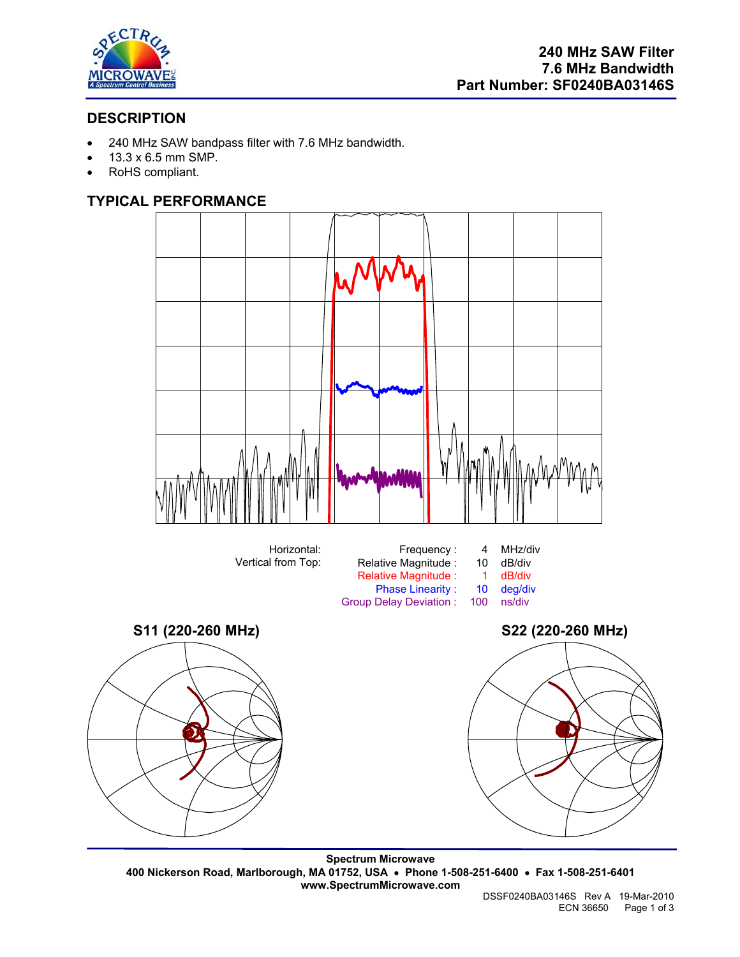

# **DESCRIPTION**

- 240 MHz SAW bandpass filter with 7.6 MHz bandwidth.
- 13.3 x 6.5 mm SMP.
- RoHS compliant.

## **TYPICAL PERFORMANCE**



**Spectrum Microwave 400 Nickerson Road, Marlborough, MA 01752, USA** • **Phone 1-508-251-6400** • **Fax 1-508-251-6401 www.SpectrumMicrowave.com**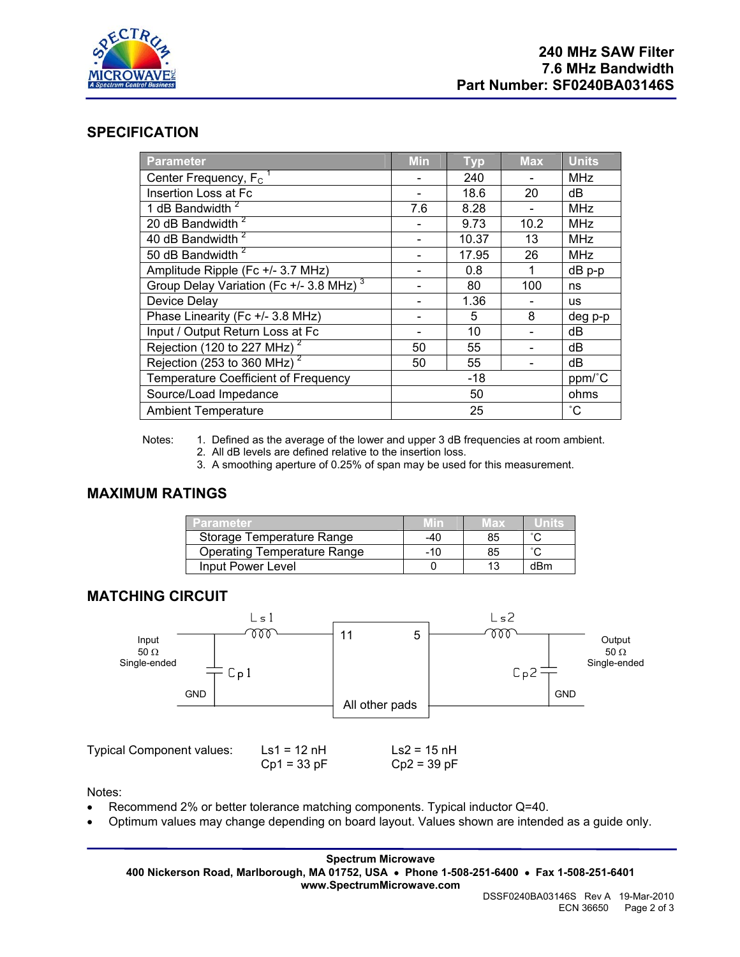

## **SPECIFICATION**

| <b>Parameter</b>                                    | <b>Min</b> | <b>Typ</b> | <b>Max</b> | <b>Units</b> |
|-----------------------------------------------------|------------|------------|------------|--------------|
| Center Frequency, F <sub>c</sub>                    |            | 240        |            | <b>MHz</b>   |
| Insertion Loss at Fc                                |            | 18.6       | 20         | dB           |
| 1 dB Bandwidth <sup>2</sup>                         | 7.6        | 8.28       |            | <b>MHz</b>   |
| 20 dB Bandwidth <sup>2</sup>                        |            | 9.73       | 10.2       | <b>MHz</b>   |
| 40 dB Bandwidth <sup>2</sup>                        |            | 10.37      | 13         | <b>MHz</b>   |
| 50 dB Bandwidth <sup>2</sup>                        |            | 17.95      | 26         | <b>MHz</b>   |
| Amplitude Ripple (Fc +/- 3.7 MHz)                   |            | 0.8        | 1          | $dB$ p-p     |
| Group Delay Variation (Fc +/- 3.8 MHz) <sup>3</sup> |            | 80         | 100        | ns           |
| Device Delay                                        |            | 1.36       |            | <b>us</b>    |
| Phase Linearity (Fc +/- 3.8 MHz)                    |            | 5          | 8          | deg p-p      |
| Input / Output Return Loss at Fc                    |            | 10         |            | dB           |
| Rejection (120 to 227 MHz) $^2$                     | 50         | 55         |            | dB           |
| Rejection (253 to 360 MHz) $^2$                     | 50         | 55         |            | dB           |
| Temperature Coefficient of Frequency                | $-18$      |            |            | ppm/°C       |
| Source/Load Impedance                               | 50         |            |            | ohms         |
| <b>Ambient Temperature</b>                          | 25         |            |            | °С           |

Notes: 1. Defined as the average of the lower and upper 3 dB frequencies at room ambient.

- 2. All dB levels are defined relative to the insertion loss.
- 3. A smoothing aperture of 0.25% of span may be used for this measurement.

## **MAXIMUM RATINGS**

| Parameter                          |       | 183 |                     |
|------------------------------------|-------|-----|---------------------|
| Storage Temperature Range          | -40   | 85  |                     |
| <b>Operating Temperature Range</b> | $-10$ | 85  | $\hat{\phantom{a}}$ |
| Input Power Level                  |       |     | dBm                 |

## **MATCHING CIRCUIT**



Typical Component values:  $Ls1 = 12 \text{ nH}$   $Ls2 = 15 \text{ nH}$ <br>Cp1 = 33 pF  $Cp2 = 39 \text{ pF}$ 

 $Cp1 = 33 pF$ 

Notes:

- Recommend 2% or better tolerance matching components. Typical inductor Q=40.
- Optimum values may change depending on board layout. Values shown are intended as a guide only.